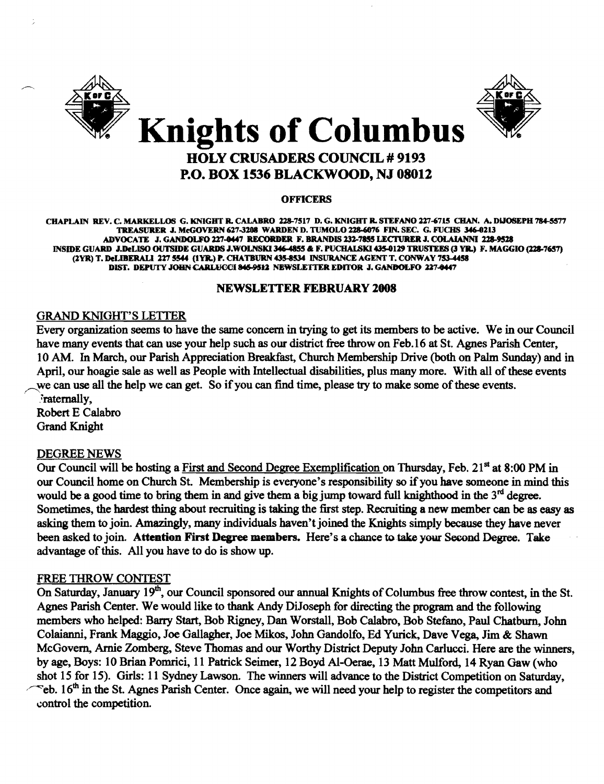

# HOLY CRUSADERS COUNCIL # 9193 P.O. BOX 1536 BLACKWOOD, NJ 08012

#### **OFFICERS**

CHAPLAIN REV. C. MARKELLOS G. KNIGHT R. CALABRO 228-7517 D. G. KNIGHT R. STEFANO 227-6715 CHAN. A. DIJOSEPH 784-5577 TREASURER J. McGOVERN 627-3208 WARDEN D. TUMOLO 228-6076 FIN. SEC. G. FUCHS 346-0213 ADVOCATE J. GANDOLFO 227-0447 RECORDER F. BRANDIS 232-7855 LECTURER J. COLAIANNI 228-9528 INSIDE GUARD J.DeLISO OUTSIDE GUARDS J.WOLNSKI 346-4855 & F. PUCHALSKI 435-0129 TRUSTEES (3 YR.) F. MAGGIO (228-7657) (2YR) T. DeLIBERALI 227 5544 (1YR.) P. CHATBURN 435-8534 INSURANCE AGENT T. CONWAY 753-4458 DIST. DEPUTY JOHN CARLUCCI 845-9512 NEWSLETTER EDITOR J. GANDOLFO 227-8447

#### NEWSLETIER FEBRUARY 2008

### GRAND KNIGHT'S LEITER

Every organization seems to have the same concern in trying to get its members to be active. We in our Council have many events that can use your help such as our district free throw on Feb. 16 at St. Agnes Parish Center, lOAM. In March, our Parish Appreciation Breakfast, Church Membership Drive (both on Palm Sunday) and in April, our hoagie sale as well as People with Intellectual disabilities, plus many more. With all of these events we can use all the help we can get. So if you can find time, please try to make some of these events. .<sup>r</sup>atemally,

Robert E Calabro Grand Knight

#### DEGREE NEWS

Our Council will be hosting a First and Second Degree Exemplification on Thursday, Feb. 21<sup>st</sup> at 8:00 PM in our Council home on Church St. Membership is everyone's responsibility so if you have someone in mind this would be a good time to bring them in and give them a big jump toward full knighthood in the  $3<sup>rd</sup>$  degree. Sometimes, the hardest thing about recruiting is taking the first step. Recruiting a new member can be as easy as asking them to join. Amazingly, many individuals haven't joined the Knights simply because they have never been asked to join. Attention First Degree members. Here's a chance to take your Second Degree. Take advantage of this. All you have to do is show up.

#### FREE THROW CONTEST

On Saturday, January 19<sup>th</sup>, our Council sponsored our annual Knights of Columbus free throw contest, in the St. Agnes Parish Center. We would like to thank Andy DiJoseph for directing the program and the following members who helped: Barry Start, Bob Rigney, Dan WorstaIl, Bob Calabro, Bob Stefano, Paul Chatburn, John Colaianni, Frank Maggio, Joe Gallagher, Joe Mikos, John Gandolfo, Ed Yurick, Dave Vega, Jim & Shawn McGovern, Arnie Zomberg, Steve Thomas and our Worthy District Deputy John Carlucci. Here are the winners, by age, Boys: 10 Brian Pomrici, 11 Patrick Seimer, 12 Boyd Al-Oerae, 13 Matt Mulford., 14 Ryan Gaw (who shot 15 for 15). Girls: 11 Sydney Lawson. The winners will advance to the District Competition on Saturday,  $\degree$ eb. 16<sup>th</sup> in the St. Agnes Parish Center. Once again, we will need your help to register the competitors and control the competition.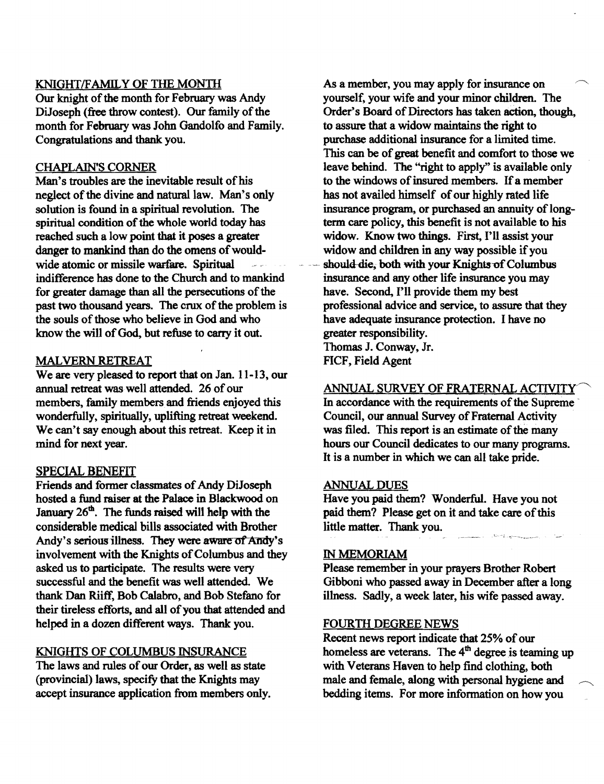# KNIGHT/FAMILY OF THE MONTH

Our knight of the month for February was Andy DiJoseph (free throw contest). Our family of the month for February was John Gandolfo and Family. Congratulations and thank you.

# CHAPLAIN'S CORNER

Man's troubles are the inevitable result of his neglect of the divine and natural law. Man's only solution is found in a spiritual revolution. The spiritual condition of the whole world today has reached such a low point that it poses a greater danger to mankind than do the omens of wouldwide atomic or missile warfare. Spiritual indifference has done to the Church and to mankind for greater damage than all the persecutions of the past two thousand years. The crux of the problem is the souls of those who believe in God and who know the will of God, but refuse to carry it out.

### MALVERN RETREAT

We are very pleased to report that on Jan. 11-13, our annual retreat was well attended. 26 of our members, family members and friends enjoyed this wonderfully, spiritually, uplifting retreat weekend. We can't say enough about this retreat. Keep it in mind for next year.

# SPECIAL BENEFIT

Friends and former classmates of Andy DiJoseph hosted a fund raiser at the Palace in Blackwood on January  $26<sup>th</sup>$ . The funds raised will help with the considerable medical bills associated with Brother Andy's serious illness. They were aware of Andy's involvement with the Knights of Columbus and they asked us to participate. The results were very successful and the benefit was well attended. We thank Dan Riiff, Bob Calabro, and Bob Stefano for their tireless efforts, and all of you that attended and helped in a dozen different ways. Thank you.

# KNIGHTS OF COLUMBUS INSURANCE

The laws and rules of our Order, as well as state (provincial) laws, specifY that the Knights may accept insurance application from members only. As a member, you may apply for insurance on yourself, your wife and your minor children. The Order's Board of Directors has taken action, though, to assure that a widow maintains the right to purchase additional insurance for a limited time. This can be of great benefit and comfort to those we leave behind. The "right to apply" is available only to the windows of insured members. If a member has not availed himself of our highly rated life insurance program, or purchased an annuity of longterm care policy, this benefit is not available to his widow. Know two things. First, I'll assist your widow and children in any way possible if you should-die, both with your Knights-of Columbus insurance and any other life insurance you may have. Second, I'll provide them my best professional advice and service, to assure that they have adequate insurance protection. I have no greater responsibility. Thomas J. Conway, Jr.

FICF, Field Agent

# ANNUAL SURVEY OF FRATERNAL ACTIVITY

In accordance with the requirements of the Supreme Council, our annual Survey of Fraternal Activity was filed. This report is an estimate of the many hours our Council dedicates to our many programs. It is a number in which we can all take pride.

### ANNUAL DUES

Have you paid them? Wonderful. Have you not paid them? Please get on it and take care of this little matter. Thank you. الا المسافر المسافر المستخدم الأسامية.<br>المسافر المسافر المستخدم المستخدم المسافرة

### IN MEMORIAM

Please remember in your prayers Brother Robert Gibboni who passed away in December after a long illness. Sadly, a week later, his wife passed away.

### FOURTH DEGREE NEWS

Recent news report indicate that 25% of our homeless are veterans. The  $4<sup>th</sup>$  degree is teaming up with Veterans Haven to help find clothing, both male and female, along with personal hygiene and bedding items. For more information on how you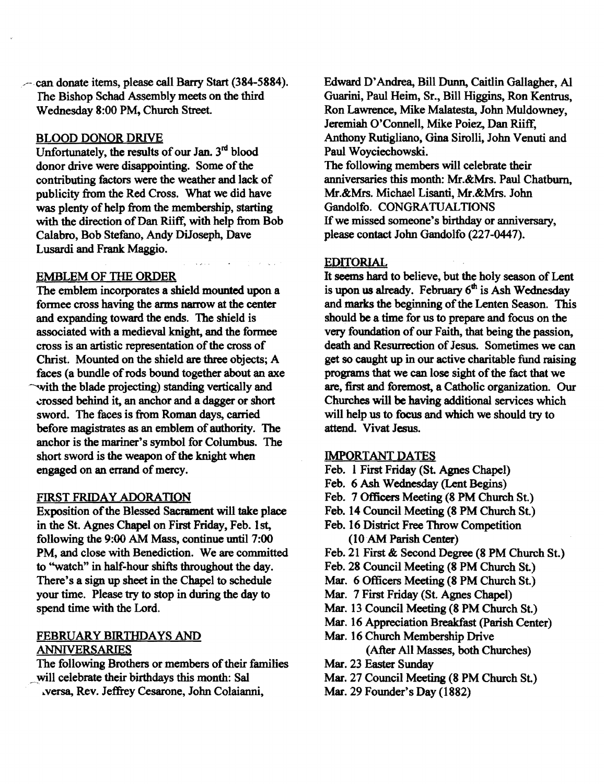----can donate items, please call Barry Start (384-5884). The Bishop Schad Assembly meets on the third Wednesday 8:00 PM, Church Street.

### BLOOD DONOR DRIVE

Unfortunately, the results of our Jan.  $3<sup>rd</sup>$  blood donor drive were disappointing. Some of the contributing factors were the weather and lack of publicity from the Red Cross. What we did have was plenty of help from the membership, starting with the direction of Dan Riiff, with help from Bob Calabro, Bob Stefano, Andy DUoseph, Dave Lusardi and Frank Maggio.

#### EMBLEM OF TIlE ORDER

The emblem incorporates a shield mounted upon a formee cross having the arms narrow at the center and expanding toward the ends. The shield is associated with a medieval knight, and the formee cross is an artistic representation of the cross of Christ. Mounted on the shield are three objects; A faces (a bundle ofrods bound together about an axe with the blade projecting) standing vertically and ~'I'Ossed behind it, an anchor and a dagger or short sword. The faces is from Roman days, carried before magistrates as an emblem of authority. The anchor is the mariner's symbol for Columbus. The short sword is the weapon of the knight when engaged on an errand of mercy.

#### FIRST FRIDAY ADORATIQN

Exposition of the Blessed Sacrament will take place in the St. Agnes Chapel on First Friday, Feb. 1st, following the 9:00 AM Mass, continue until 7:00 PM, and close with Benediction. We are committed to ''watch'' in half-hour shifts throughout the day. There's a sign up sheet in the Chapel to schedule your time. Please try to stop in during the day to spend time with the Lord.

# FEBRUARY BIRTHDAYS AND ANNIVERSARIES

The following Brothers or members of their families will celebrate their birthdays this month: Sal

..versa, Rev. Jeffrey Cesarone, John Colaianni,

Edward D'Andrea, Bill Dunn, Caitlin Gallagher, Al Guarini, Paul Heim, Sr., Bill Higgins, Ron Kentrus, Ron Lawrence, Mike Malatesta, John Muldowney, Jeremiah O'Connell, Mike Poiez, Dan Riiff, Anthony Rutigliano, Gina Sirolli, John Venuti and Paul Woyciechowski. The following members will celebrate their

anniversaries this month: Mr.&Mrs. Paul Chatburn, Mr.&Mrs. Michael Lisanti, Mr.&Mrs. John Gandolfo. CONGRATUALTIONS If we missed someone's birthday or anniversary, please contact John Gandolfo (227-0447).

#### EDITORIAL

It seems hard to believe, but the holy season of Lent is upon us already. February  $6<sup>th</sup>$  is Ash Wednesday and marks the beginning of the Lenten Season. This should be a time for us to prepare and focus on the very foundation of our Faith, that being the passion, death and Resurrection of Jesus. Sometimes we can get so caught up in our active charitable fund raising programs that we can lose sight of the fact that we are, first and foremost, a Catholic organization. Our Churches will be having additional services which will help us to focus and which we should try to attend. Vivat Jesus.

#### IMPORTANT DATES

- Feb. 1First Friday (81. Agnes Chapel)
- Feb. 6 Ash Wednesday (Lent Begins)
- Feb. 7 Officers Meeting (8 PM Church St.)
- Feb. 14 Council Meeting (8 PM Church St)
- Feb. 16 District Free Throw Competition (1OAM Parish Center)
- Feb. 21 First & Second Degree (8 PM Church St.)
- Feb. 28 Council Meeting (8 PM Church St.)
- Mar. 6 Officers Meeting (8 PM Church St.)
- Mar. 7 First Friday (St. Agnes Chapel)
- Mar. 13 Council Meeting (8 PM Church St.)
- Mar. 16 Appreciation Breakfast (Parish Center)
- Mar. 16 Church Membership Drive (After All Masses, both Churches)
- Mar. 23 Easter Sunday
- Mar. 27 Council Meeting (8 PM Church St.)
- Mar. 29 Founder's Day (1882)